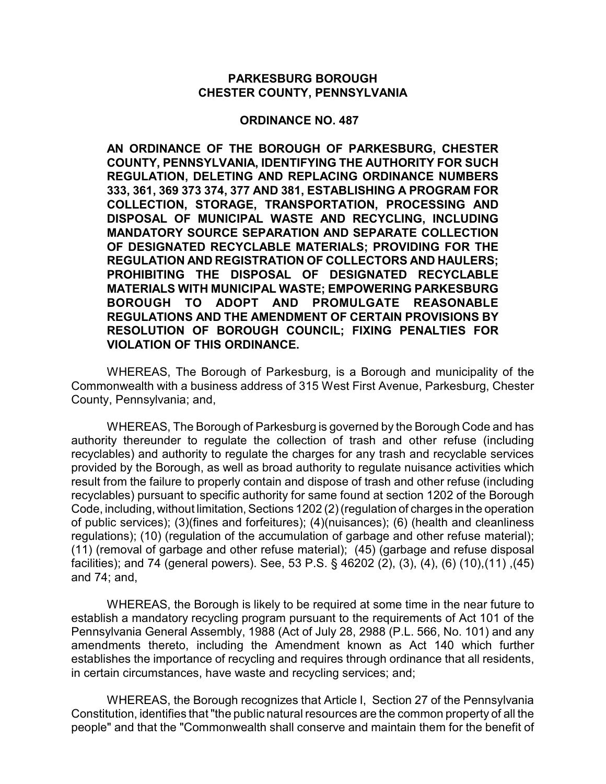#### **PARKESBURG BOROUGH CHESTER COUNTY, PENNSYLVANIA**

#### **ORDINANCE NO. 487**

**AN ORDINANCE OF THE BOROUGH OF PARKESBURG, CHESTER COUNTY, PENNSYLVANIA, IDENTIFYING THE AUTHORITY FOR SUCH REGULATION, DELETING AND REPLACING ORDINANCE NUMBERS 333, 361, 369 373 374, 377 AND 381, ESTABLISHING A PROGRAM FOR COLLECTION, STORAGE, TRANSPORTATION, PROCESSING AND DISPOSAL OF MUNICIPAL WASTE AND RECYCLING, INCLUDING MANDATORY SOURCE SEPARATION AND SEPARATE COLLECTION OF DESIGNATED RECYCLABLE MATERIALS; PROVIDING FOR THE REGULATION AND REGISTRATION OF COLLECTORS AND HAULERS; PROHIBITING THE DISPOSAL OF DESIGNATED RECYCLABLE MATERIALS WITH MUNICIPAL WASTE; EMPOWERING PARKESBURG BOROUGH TO ADOPT AND PROMULGATE REASONABLE REGULATIONS AND THE AMENDMENT OF CERTAIN PROVISIONS BY RESOLUTION OF BOROUGH COUNCIL; FIXING PENALTIES FOR VIOLATION OF THIS ORDINANCE.**

WHEREAS, The Borough of Parkesburg, is a Borough and municipality of the Commonwealth with a business address of 315 West First Avenue, Parkesburg, Chester County, Pennsylvania; and,

WHEREAS, The Borough of Parkesburg is governed by the Borough Code and has authority thereunder to regulate the collection of trash and other refuse (including recyclables) and authority to regulate the charges for any trash and recyclable services provided by the Borough, as well as broad authority to regulate nuisance activities which result from the failure to properly contain and dispose of trash and other refuse (including recyclables) pursuant to specific authority for same found at section 1202 of the Borough Code, including, without limitation, Sections 1202 (2) (regulation of charges in the operation of public services); (3)(fines and forfeitures); (4)(nuisances); (6) (health and cleanliness regulations); (10) (regulation of the accumulation of garbage and other refuse material); (11) (removal of garbage and other refuse material); (45) (garbage and refuse disposal facilities); and 74 (general powers). See, 53 P.S. § 46202 (2), (3), (4), (6) (10),(11) ,(45) and 74; and,

WHEREAS, the Borough is likely to be required at some time in the near future to establish a mandatory recycling program pursuant to the requirements of Act 101 of the Pennsylvania General Assembly, 1988 (Act of July 28, 2988 (P.L. 566, No. 101) and any amendments thereto, including the Amendment known as Act 140 which further establishes the importance of recycling and requires through ordinance that all residents, in certain circumstances, have waste and recycling services; and;

WHEREAS, the Borough recognizes that Article I, Section 27 of the Pennsylvania Constitution, identifies that "the public natural resources are the common property of all the people" and that the "Commonwealth shall conserve and maintain them for the benefit of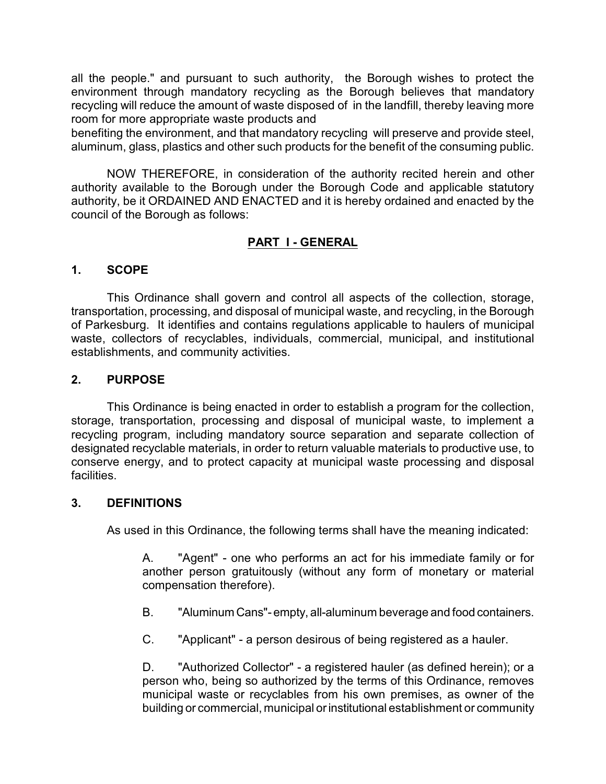all the people." and pursuant to such authority, the Borough wishes to protect the environment through mandatory recycling as the Borough believes that mandatory recycling will reduce the amount of waste disposed of in the landfill, thereby leaving more room for more appropriate waste products and

benefiting the environment, and that mandatory recycling will preserve and provide steel, aluminum, glass, plastics and other such products for the benefit of the consuming public.

NOW THEREFORE, in consideration of the authority recited herein and other authority available to the Borough under the Borough Code and applicable statutory authority, be it ORDAINED AND ENACTED and it is hereby ordained and enacted by the council of the Borough as follows:

# **PART I - GENERAL**

#### **1. SCOPE**

This Ordinance shall govern and control all aspects of the collection, storage, transportation, processing, and disposal of municipal waste, and recycling, in the Borough of Parkesburg. It identifies and contains regulations applicable to haulers of municipal waste, collectors of recyclables, individuals, commercial, municipal, and institutional establishments, and community activities.

#### **2. PURPOSE**

This Ordinance is being enacted in order to establish a program for the collection, storage, transportation, processing and disposal of municipal waste, to implement a recycling program, including mandatory source separation and separate collection of designated recyclable materials, in order to return valuable materials to productive use, to conserve energy, and to protect capacity at municipal waste processing and disposal facilities.

#### **3. DEFINITIONS**

As used in this Ordinance, the following terms shall have the meaning indicated:

A. "Agent" - one who performs an act for his immediate family or for another person gratuitously (without any form of monetary or material compensation therefore).

- B. "Aluminum Cans"- empty, all-aluminum beverage and food containers.
- C. "Applicant" a person desirous of being registered as a hauler.

D. "Authorized Collector" - a registered hauler (as defined herein); or a person who, being so authorized by the terms of this Ordinance, removes municipal waste or recyclables from his own premises, as owner of the building or commercial, municipal or institutional establishment or community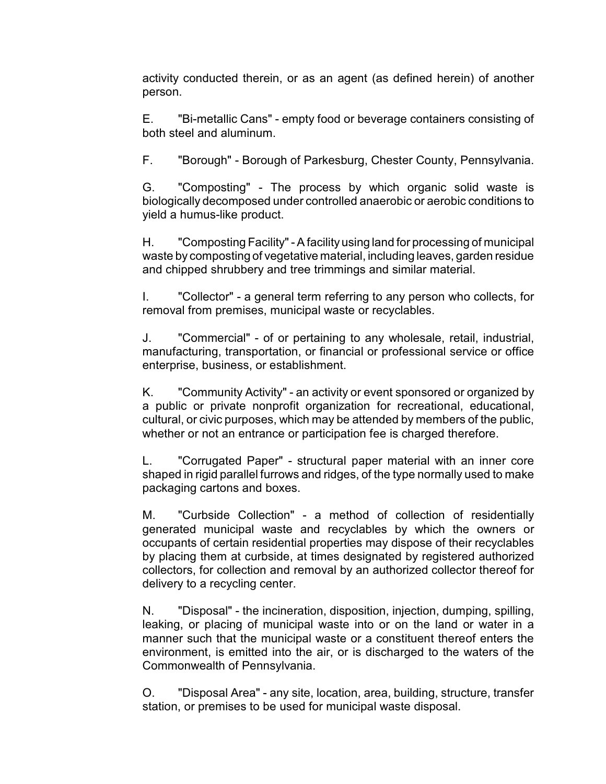activity conducted therein, or as an agent (as defined herein) of another person.

E. "Bi-metallic Cans" - empty food or beverage containers consisting of both steel and aluminum.

F. "Borough" - Borough of Parkesburg, Chester County, Pennsylvania.

G. "Composting" - The process by which organic solid waste is biologically decomposed under controlled anaerobic or aerobic conditions to yield a humus-like product.

H. "Composting Facility" - A facility using land for processing of municipal waste by composting of vegetative material, including leaves, garden residue and chipped shrubbery and tree trimmings and similar material.

I. "Collector" - a general term referring to any person who collects, for removal from premises, municipal waste or recyclables.

J. "Commercial" - of or pertaining to any wholesale, retail, industrial, manufacturing, transportation, or financial or professional service or office enterprise, business, or establishment.

K. "Community Activity" - an activity or event sponsored or organized by a public or private nonprofit organization for recreational, educational, cultural, or civic purposes, which may be attended by members of the public, whether or not an entrance or participation fee is charged therefore.

L. "Corrugated Paper" - structural paper material with an inner core shaped in rigid parallel furrows and ridges, of the type normally used to make packaging cartons and boxes.

M. "Curbside Collection" - a method of collection of residentially generated municipal waste and recyclables by which the owners or occupants of certain residential properties may dispose of their recyclables by placing them at curbside, at times designated by registered authorized collectors, for collection and removal by an authorized collector thereof for delivery to a recycling center.

N. "Disposal" - the incineration, disposition, injection, dumping, spilling, leaking, or placing of municipal waste into or on the land or water in a manner such that the municipal waste or a constituent thereof enters the environment, is emitted into the air, or is discharged to the waters of the Commonwealth of Pennsylvania.

O. "Disposal Area" - any site, location, area, building, structure, transfer station, or premises to be used for municipal waste disposal.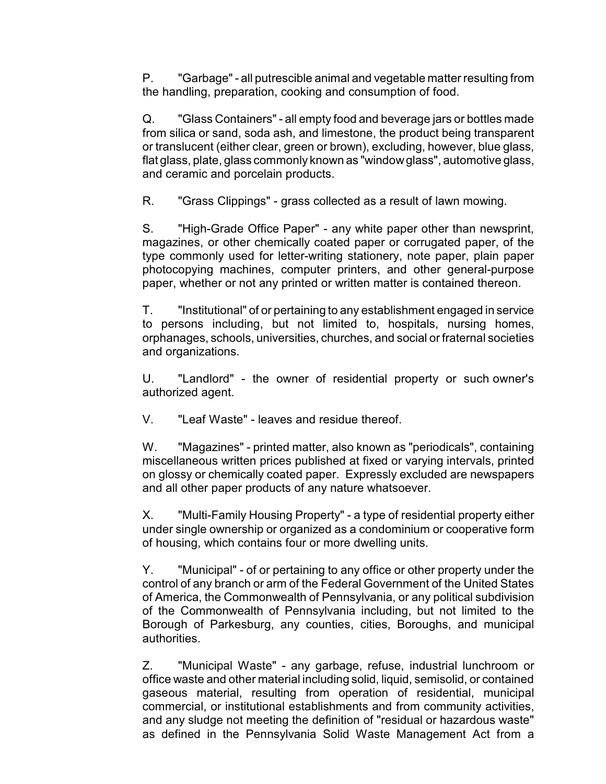P. "Garbage" - all putrescible animal and vegetable matter resulting from the handling, preparation, cooking and consumption of food.

Q. "Glass Containers" - all empty food and beverage jars or bottles made from silica or sand, soda ash, and limestone, the product being transparent or translucent (either clear, green or brown), excluding, however, blue glass, flat glass, plate, glass commonly known as "windowglass", automotive glass, and ceramic and porcelain products.

R. "Grass Clippings" - grass collected as a result of lawn mowing.

S. "High-Grade Office Paper" - any white paper other than newsprint, magazines, or other chemically coated paper or corrugated paper, of the type commonly used for letter-writing stationery, note paper, plain paper photocopying machines, computer printers, and other general-purpose paper, whether or not any printed or written matter is contained thereon.

T. "Institutional" of or pertaining to any establishment engaged in service to persons including, but not limited to, hospitals, nursing homes, orphanages, schools, universities, churches, and social or fraternal societies and organizations.

U. "Landlord" - the owner of residential property or such owner's authorized agent.

V. "Leaf Waste" - leaves and residue thereof.

W. "Magazines" - printed matter, also known as "periodicals", containing miscellaneous written prices published at fixed or varying intervals, printed on glossy or chemically coated paper. Expressly excluded are newspapers and all other paper products of any nature whatsoever.

X. "Multi-Family Housing Property" - a type of residential property either under single ownership or organized as a condominium or cooperative form of housing, which contains four or more dwelling units.

Y. "Municipal" - of or pertaining to any office or other property under the control of any branch or arm of the Federal Government of the United States of America, the Commonwealth of Pennsylvania, or any political subdivision of the Commonwealth of Pennsylvania including, but not limited to the Borough of Parkesburg, any counties, cities, Boroughs, and municipal authorities.

Z. "Municipal Waste" - any garbage, refuse, industrial lunchroom or office waste and other material including solid, liquid, semisolid, or contained gaseous material, resulting from operation of residential, municipal commercial, or institutional establishments and from community activities, and any sludge not meeting the definition of "residual or hazardous waste" as defined in the Pennsylvania Solid Waste Management Act from a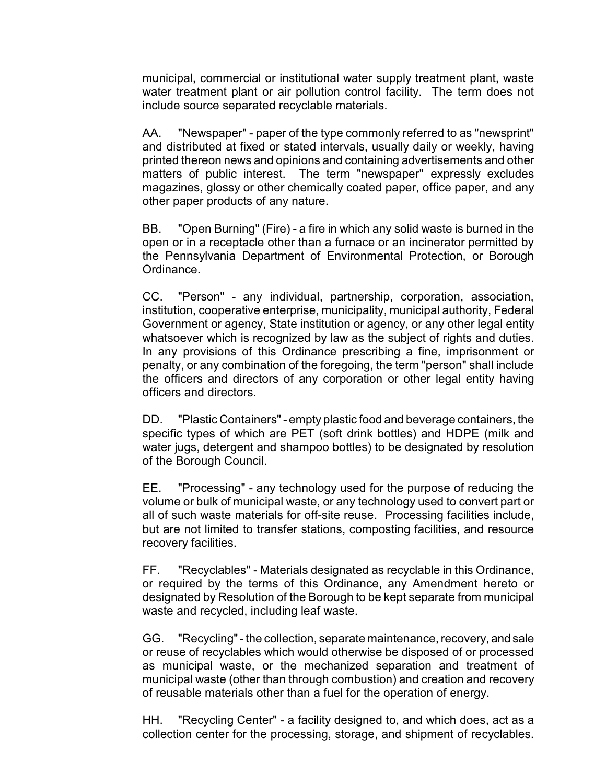municipal, commercial or institutional water supply treatment plant, waste water treatment plant or air pollution control facility. The term does not include source separated recyclable materials.

AA. "Newspaper" - paper of the type commonly referred to as "newsprint" and distributed at fixed or stated intervals, usually daily or weekly, having printed thereon news and opinions and containing advertisements and other matters of public interest. The term "newspaper" expressly excludes magazines, glossy or other chemically coated paper, office paper, and any other paper products of any nature.

BB. "Open Burning" (Fire) - a fire in which any solid waste is burned in the open or in a receptacle other than a furnace or an incinerator permitted by the Pennsylvania Department of Environmental Protection, or Borough Ordinance.

CC. "Person" - any individual, partnership, corporation, association, institution, cooperative enterprise, municipality, municipal authority, Federal Government or agency, State institution or agency, or any other legal entity whatsoever which is recognized by law as the subject of rights and duties. In any provisions of this Ordinance prescribing a fine, imprisonment or penalty, or any combination of the foregoing, the term "person" shall include the officers and directors of any corporation or other legal entity having officers and directors.

DD. "Plastic Containers" - empty plastic food and beverage containers, the specific types of which are PET (soft drink bottles) and HDPE (milk and water jugs, detergent and shampoo bottles) to be designated by resolution of the Borough Council.

EE. "Processing" - any technology used for the purpose of reducing the volume or bulk of municipal waste, or any technology used to convert part or all of such waste materials for off-site reuse. Processing facilities include, but are not limited to transfer stations, composting facilities, and resource recovery facilities.

FF. "Recyclables" - Materials designated as recyclable in this Ordinance, or required by the terms of this Ordinance, any Amendment hereto or designated by Resolution of the Borough to be kept separate from municipal waste and recycled, including leaf waste.

GG. "Recycling" - the collection, separate maintenance, recovery, and sale or reuse of recyclables which would otherwise be disposed of or processed as municipal waste, or the mechanized separation and treatment of municipal waste (other than through combustion) and creation and recovery of reusable materials other than a fuel for the operation of energy.

HH. "Recycling Center" - a facility designed to, and which does, act as a collection center for the processing, storage, and shipment of recyclables.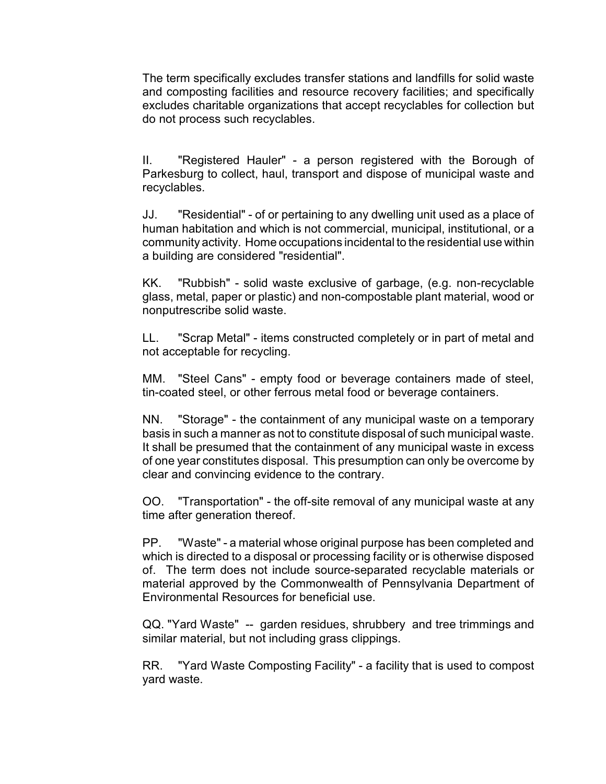The term specifically excludes transfer stations and landfills for solid waste and composting facilities and resource recovery facilities; and specifically excludes charitable organizations that accept recyclables for collection but do not process such recyclables.

II. "Registered Hauler" - a person registered with the Borough of Parkesburg to collect, haul, transport and dispose of municipal waste and recyclables.

JJ. "Residential" - of or pertaining to any dwelling unit used as a place of human habitation and which is not commercial, municipal, institutional, or a community activity. Home occupations incidental to the residential use within a building are considered "residential".

KK. "Rubbish" - solid waste exclusive of garbage, (e.g. non-recyclable glass, metal, paper or plastic) and non-compostable plant material, wood or nonputrescribe solid waste.

LL. "Scrap Metal" - items constructed completely or in part of metal and not acceptable for recycling.

MM. "Steel Cans" - empty food or beverage containers made of steel, tin-coated steel, or other ferrous metal food or beverage containers.

NN. "Storage" - the containment of any municipal waste on a temporary basis in such a manner as not to constitute disposal of such municipal waste. It shall be presumed that the containment of any municipal waste in excess of one year constitutes disposal. This presumption can only be overcome by clear and convincing evidence to the contrary.

OO. "Transportation" - the off-site removal of any municipal waste at any time after generation thereof.

PP. "Waste" - a material whose original purpose has been completed and which is directed to a disposal or processing facility or is otherwise disposed of. The term does not include source-separated recyclable materials or material approved by the Commonwealth of Pennsylvania Department of Environmental Resources for beneficial use.

QQ. "Yard Waste" -- garden residues, shrubbery and tree trimmings and similar material, but not including grass clippings.

RR. "Yard Waste Composting Facility" - a facility that is used to compost yard waste.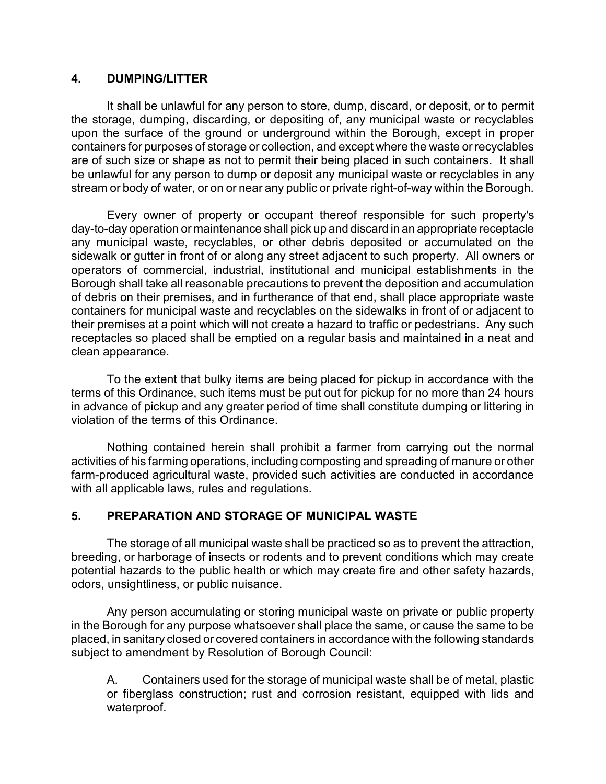#### **4. DUMPING/LITTER**

It shall be unlawful for any person to store, dump, discard, or deposit, or to permit the storage, dumping, discarding, or depositing of, any municipal waste or recyclables upon the surface of the ground or underground within the Borough, except in proper containers for purposes of storage or collection, and except where the waste or recyclables are of such size or shape as not to permit their being placed in such containers. It shall be unlawful for any person to dump or deposit any municipal waste or recyclables in any stream or body of water, or on or near any public or private right-of-way within the Borough.

Every owner of property or occupant thereof responsible for such property's day-to-day operation or maintenance shall pick up and discard in an appropriate receptacle any municipal waste, recyclables, or other debris deposited or accumulated on the sidewalk or gutter in front of or along any street adjacent to such property. All owners or operators of commercial, industrial, institutional and municipal establishments in the Borough shall take all reasonable precautions to prevent the deposition and accumulation of debris on their premises, and in furtherance of that end, shall place appropriate waste containers for municipal waste and recyclables on the sidewalks in front of or adjacent to their premises at a point which will not create a hazard to traffic or pedestrians. Any such receptacles so placed shall be emptied on a regular basis and maintained in a neat and clean appearance.

To the extent that bulky items are being placed for pickup in accordance with the terms of this Ordinance, such items must be put out for pickup for no more than 24 hours in advance of pickup and any greater period of time shall constitute dumping or littering in violation of the terms of this Ordinance.

Nothing contained herein shall prohibit a farmer from carrying out the normal activities of his farming operations, including composting and spreading of manure or other farm-produced agricultural waste, provided such activities are conducted in accordance with all applicable laws, rules and regulations.

#### **5. PREPARATION AND STORAGE OF MUNICIPAL WASTE**

The storage of all municipal waste shall be practiced so as to prevent the attraction, breeding, or harborage of insects or rodents and to prevent conditions which may create potential hazards to the public health or which may create fire and other safety hazards, odors, unsightliness, or public nuisance.

Any person accumulating or storing municipal waste on private or public property in the Borough for any purpose whatsoever shall place the same, or cause the same to be placed, in sanitary closed or covered containers in accordance with the following standards subject to amendment by Resolution of Borough Council:

A. Containers used for the storage of municipal waste shall be of metal, plastic or fiberglass construction; rust and corrosion resistant, equipped with lids and waterproof.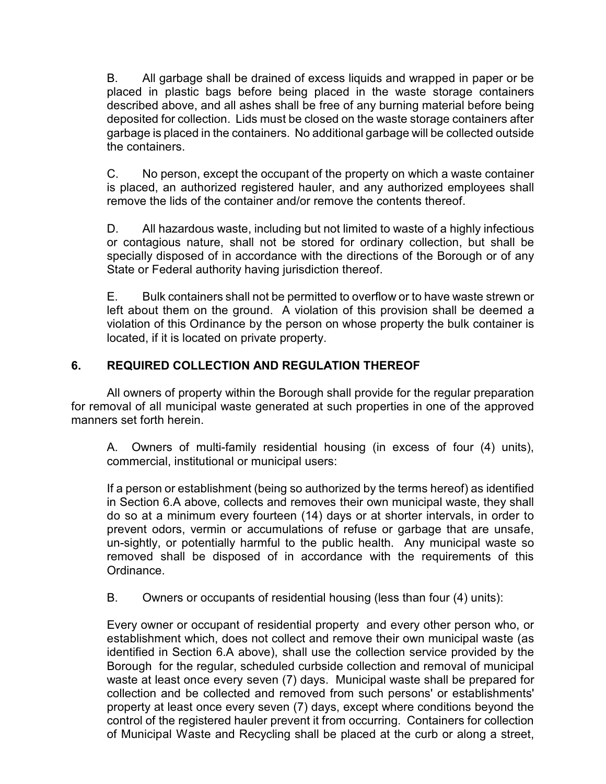B. All garbage shall be drained of excess liquids and wrapped in paper or be placed in plastic bags before being placed in the waste storage containers described above, and all ashes shall be free of any burning material before being deposited for collection. Lids must be closed on the waste storage containers after garbage is placed in the containers. No additional garbage will be collected outside the containers.

C. No person, except the occupant of the property on which a waste container is placed, an authorized registered hauler, and any authorized employees shall remove the lids of the container and/or remove the contents thereof.

D. All hazardous waste, including but not limited to waste of a highly infectious or contagious nature, shall not be stored for ordinary collection, but shall be specially disposed of in accordance with the directions of the Borough or of any State or Federal authority having jurisdiction thereof.

E. Bulk containers shall not be permitted to overflow or to have waste strewn or left about them on the ground. A violation of this provision shall be deemed a violation of this Ordinance by the person on whose property the bulk container is located, if it is located on private property.

# **6. REQUIRED COLLECTION AND REGULATION THEREOF**

All owners of property within the Borough shall provide for the regular preparation for removal of all municipal waste generated at such properties in one of the approved manners set forth herein.

A. Owners of multi-family residential housing (in excess of four (4) units), commercial, institutional or municipal users:

If a person or establishment (being so authorized by the terms hereof) as identified in Section 6.A above, collects and removes their own municipal waste, they shall do so at a minimum every fourteen (14) days or at shorter intervals, in order to prevent odors, vermin or accumulations of refuse or garbage that are unsafe, un-sightly, or potentially harmful to the public health. Any municipal waste so removed shall be disposed of in accordance with the requirements of this Ordinance.

B. Owners or occupants of residential housing (less than four (4) units):

Every owner or occupant of residential property and every other person who, or establishment which, does not collect and remove their own municipal waste (as identified in Section 6.A above), shall use the collection service provided by the Borough for the regular, scheduled curbside collection and removal of municipal waste at least once every seven (7) days. Municipal waste shall be prepared for collection and be collected and removed from such persons' or establishments' property at least once every seven (7) days, except where conditions beyond the control of the registered hauler prevent it from occurring. Containers for collection of Municipal Waste and Recycling shall be placed at the curb or along a street,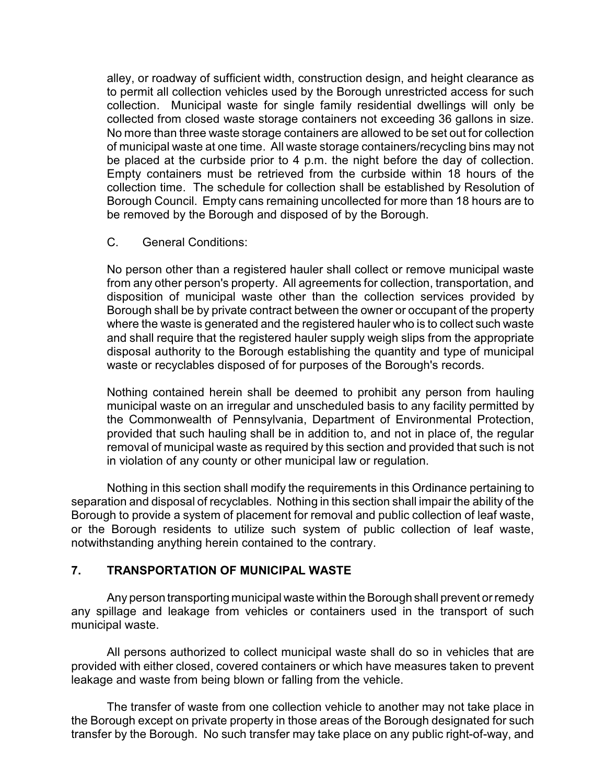alley, or roadway of sufficient width, construction design, and height clearance as to permit all collection vehicles used by the Borough unrestricted access for such collection. Municipal waste for single family residential dwellings will only be collected from closed waste storage containers not exceeding 36 gallons in size. No more than three waste storage containers are allowed to be set out for collection of municipal waste at one time. All waste storage containers/recycling bins may not be placed at the curbside prior to 4 p.m. the night before the day of collection. Empty containers must be retrieved from the curbside within 18 hours of the collection time. The schedule for collection shall be established by Resolution of Borough Council. Empty cans remaining uncollected for more than 18 hours are to be removed by the Borough and disposed of by the Borough.

C. General Conditions:

No person other than a registered hauler shall collect or remove municipal waste from any other person's property. All agreements for collection, transportation, and disposition of municipal waste other than the collection services provided by Borough shall be by private contract between the owner or occupant of the property where the waste is generated and the registered hauler who is to collect such waste and shall require that the registered hauler supply weigh slips from the appropriate disposal authority to the Borough establishing the quantity and type of municipal waste or recyclables disposed of for purposes of the Borough's records.

Nothing contained herein shall be deemed to prohibit any person from hauling municipal waste on an irregular and unscheduled basis to any facility permitted by the Commonwealth of Pennsylvania, Department of Environmental Protection, provided that such hauling shall be in addition to, and not in place of, the regular removal of municipal waste as required by this section and provided that such is not in violation of any county or other municipal law or regulation.

Nothing in this section shall modify the requirements in this Ordinance pertaining to separation and disposal of recyclables. Nothing in this section shall impair the ability of the Borough to provide a system of placement for removal and public collection of leaf waste, or the Borough residents to utilize such system of public collection of leaf waste, notwithstanding anything herein contained to the contrary.

#### **7. TRANSPORTATION OF MUNICIPAL WASTE**

Any person transporting municipal waste within the Borough shall prevent or remedy any spillage and leakage from vehicles or containers used in the transport of such municipal waste.

All persons authorized to collect municipal waste shall do so in vehicles that are provided with either closed, covered containers or which have measures taken to prevent leakage and waste from being blown or falling from the vehicle.

The transfer of waste from one collection vehicle to another may not take place in the Borough except on private property in those areas of the Borough designated for such transfer by the Borough. No such transfer may take place on any public right-of-way, and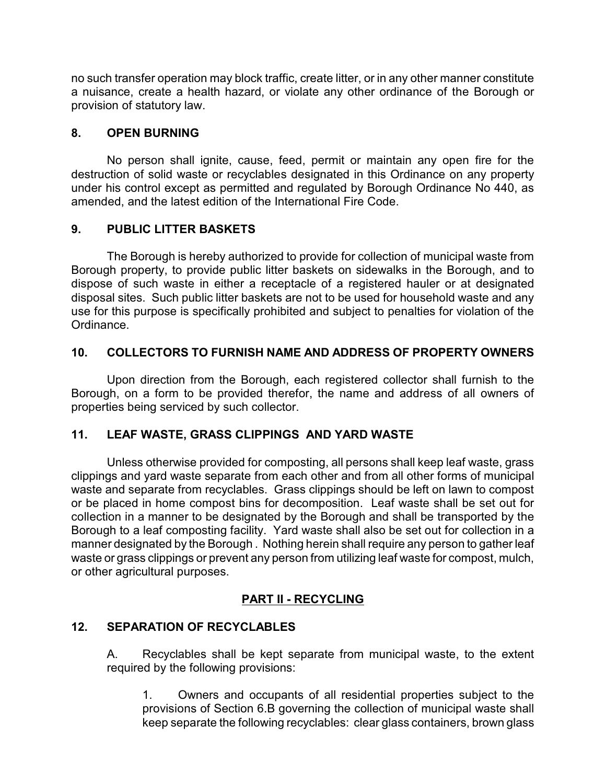no such transfer operation may block traffic, create litter, or in any other manner constitute a nuisance, create a health hazard, or violate any other ordinance of the Borough or provision of statutory law.

#### **8. OPEN BURNING**

No person shall ignite, cause, feed, permit or maintain any open fire for the destruction of solid waste or recyclables designated in this Ordinance on any property under his control except as permitted and regulated by Borough Ordinance No 440, as amended, and the latest edition of the International Fire Code.

# **9. PUBLIC LITTER BASKETS**

The Borough is hereby authorized to provide for collection of municipal waste from Borough property, to provide public litter baskets on sidewalks in the Borough, and to dispose of such waste in either a receptacle of a registered hauler or at designated disposal sites. Such public litter baskets are not to be used for household waste and any use for this purpose is specifically prohibited and subject to penalties for violation of the Ordinance.

# **10. COLLECTORS TO FURNISH NAME AND ADDRESS OF PROPERTY OWNERS**

Upon direction from the Borough, each registered collector shall furnish to the Borough, on a form to be provided therefor, the name and address of all owners of properties being serviced by such collector.

# **11. LEAF WASTE, GRASS CLIPPINGS AND YARD WASTE**

Unless otherwise provided for composting, all persons shall keep leaf waste, grass clippings and yard waste separate from each other and from all other forms of municipal waste and separate from recyclables. Grass clippings should be left on lawn to compost or be placed in home compost bins for decomposition. Leaf waste shall be set out for collection in a manner to be designated by the Borough and shall be transported by the Borough to a leaf composting facility. Yard waste shall also be set out for collection in a manner designated by the Borough . Nothing herein shall require any person to gather leaf waste or grass clippings or prevent any person from utilizing leaf waste for compost, mulch, or other agricultural purposes.

# **PART II - RECYCLING**

# **12. SEPARATION OF RECYCLABLES**

A. Recyclables shall be kept separate from municipal waste, to the extent required by the following provisions:

1. Owners and occupants of all residential properties subject to the provisions of Section 6.B governing the collection of municipal waste shall keep separate the following recyclables: clear glass containers, brown glass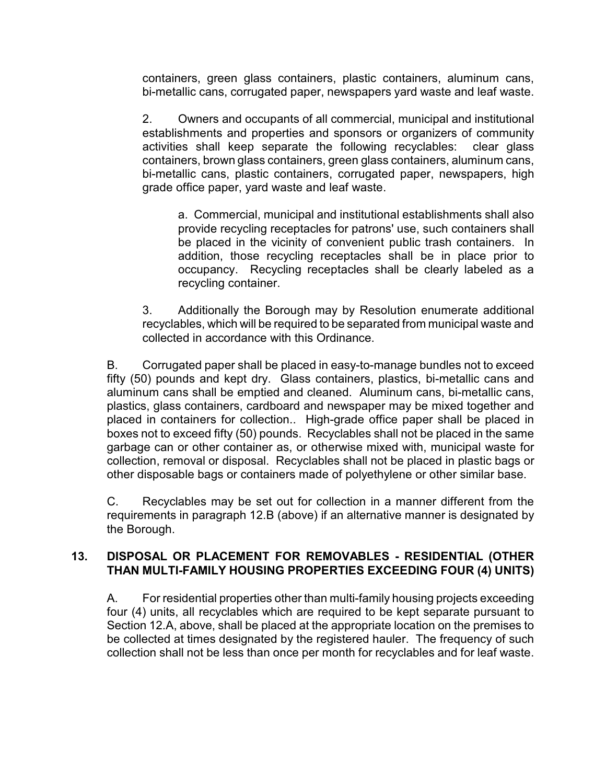containers, green glass containers, plastic containers, aluminum cans, bi-metallic cans, corrugated paper, newspapers yard waste and leaf waste.

2. Owners and occupants of all commercial, municipal and institutional establishments and properties and sponsors or organizers of community activities shall keep separate the following recyclables: clear glass containers, brown glass containers, green glass containers, aluminum cans, bi-metallic cans, plastic containers, corrugated paper, newspapers, high grade office paper, yard waste and leaf waste.

a. Commercial, municipal and institutional establishments shall also provide recycling receptacles for patrons' use, such containers shall be placed in the vicinity of convenient public trash containers. In addition, those recycling receptacles shall be in place prior to occupancy. Recycling receptacles shall be clearly labeled as a recycling container.

3. Additionally the Borough may by Resolution enumerate additional recyclables, which will be required to be separated from municipal waste and collected in accordance with this Ordinance.

B. Corrugated paper shall be placed in easy-to-manage bundles not to exceed fifty (50) pounds and kept dry. Glass containers, plastics, bi-metallic cans and aluminum cans shall be emptied and cleaned. Aluminum cans, bi-metallic cans, plastics, glass containers, cardboard and newspaper may be mixed together and placed in containers for collection.. High-grade office paper shall be placed in boxes not to exceed fifty (50) pounds. Recyclables shall not be placed in the same garbage can or other container as, or otherwise mixed with, municipal waste for collection, removal or disposal. Recyclables shall not be placed in plastic bags or other disposable bags or containers made of polyethylene or other similar base.

C. Recyclables may be set out for collection in a manner different from the requirements in paragraph 12.B (above) if an alternative manner is designated by the Borough.

#### **13. DISPOSAL OR PLACEMENT FOR REMOVABLES - RESIDENTIAL (OTHER THAN MULTI-FAMILY HOUSING PROPERTIES EXCEEDING FOUR (4) UNITS)**

A. For residential properties other than multi-family housing projects exceeding four (4) units, all recyclables which are required to be kept separate pursuant to Section 12.A, above, shall be placed at the appropriate location on the premises to be collected at times designated by the registered hauler. The frequency of such collection shall not be less than once per month for recyclables and for leaf waste.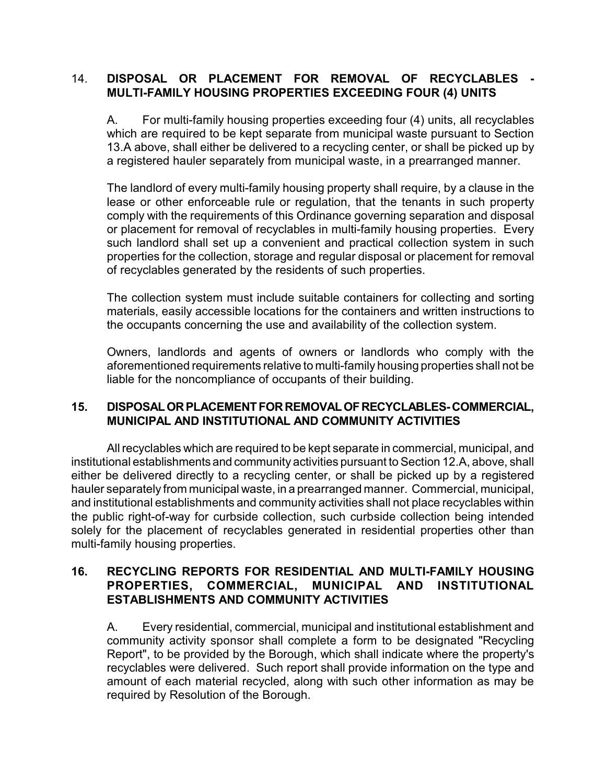#### 14. **DISPOSAL OR PLACEMENT FOR REMOVAL OF RECYCLABLES - MULTI-FAMILY HOUSING PROPERTIES EXCEEDING FOUR (4) UNITS**

A. For multi-family housing properties exceeding four (4) units, all recyclables which are required to be kept separate from municipal waste pursuant to Section 13.A above, shall either be delivered to a recycling center, or shall be picked up by a registered hauler separately from municipal waste, in a prearranged manner.

The landlord of every multi-family housing property shall require, by a clause in the lease or other enforceable rule or regulation, that the tenants in such property comply with the requirements of this Ordinance governing separation and disposal or placement for removal of recyclables in multi-family housing properties. Every such landlord shall set up a convenient and practical collection system in such properties for the collection, storage and regular disposal or placement for removal of recyclables generated by the residents of such properties.

The collection system must include suitable containers for collecting and sorting materials, easily accessible locations for the containers and written instructions to the occupants concerning the use and availability of the collection system.

Owners, landlords and agents of owners or landlords who comply with the aforementioned requirements relative to multi-family housing properties shall not be liable for the noncompliance of occupants of their building.

#### **15. DISPOSALORPLACEMENTFORREMOVALOFRECYCLABLES-COMMERCIAL, MUNICIPAL AND INSTITUTIONAL AND COMMUNITY ACTIVITIES**

All recyclables which are required to be kept separate in commercial, municipal, and institutional establishments and community activities pursuant to Section 12.A, above, shall either be delivered directly to a recycling center, or shall be picked up by a registered hauler separately from municipal waste, in a prearranged manner. Commercial, municipal, and institutional establishments and community activities shall not place recyclables within the public right-of-way for curbside collection, such curbside collection being intended solely for the placement of recyclables generated in residential properties other than multi-family housing properties.

#### **16. RECYCLING REPORTS FOR RESIDENTIAL AND MULTI-FAMILY HOUSING PROPERTIES, COMMERCIAL, MUNICIPAL AND INSTITUTIONAL ESTABLISHMENTS AND COMMUNITY ACTIVITIES**

A. Every residential, commercial, municipal and institutional establishment and community activity sponsor shall complete a form to be designated "Recycling Report", to be provided by the Borough, which shall indicate where the property's recyclables were delivered. Such report shall provide information on the type and amount of each material recycled, along with such other information as may be required by Resolution of the Borough.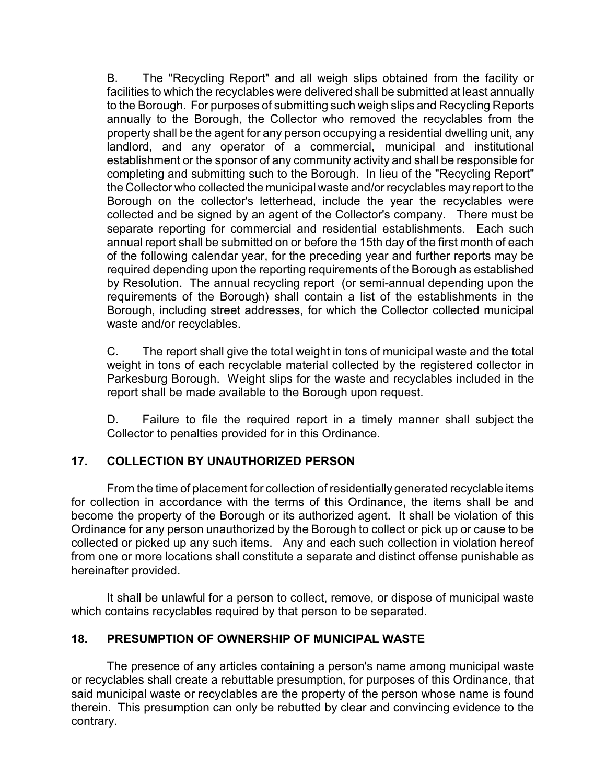B. The "Recycling Report" and all weigh slips obtained from the facility or facilities to which the recyclables were delivered shall be submitted at least annually to the Borough. For purposes of submitting such weigh slips and Recycling Reports annually to the Borough, the Collector who removed the recyclables from the property shall be the agent for any person occupying a residential dwelling unit, any landlord, and any operator of a commercial, municipal and institutional establishment or the sponsor of any community activity and shall be responsible for completing and submitting such to the Borough. In lieu of the "Recycling Report" the Collector who collected the municipal waste and/or recyclables may report to the Borough on the collector's letterhead, include the year the recyclables were collected and be signed by an agent of the Collector's company. There must be separate reporting for commercial and residential establishments. Each such annual report shall be submitted on or before the 15th day of the first month of each of the following calendar year, for the preceding year and further reports may be required depending upon the reporting requirements of the Borough as established by Resolution. The annual recycling report (or semi-annual depending upon the requirements of the Borough) shall contain a list of the establishments in the Borough, including street addresses, for which the Collector collected municipal waste and/or recyclables.

C. The report shall give the total weight in tons of municipal waste and the total weight in tons of each recyclable material collected by the registered collector in Parkesburg Borough. Weight slips for the waste and recyclables included in the report shall be made available to the Borough upon request.

D. Failure to file the required report in a timely manner shall subject the Collector to penalties provided for in this Ordinance.

# **17. COLLECTION BY UNAUTHORIZED PERSON**

From the time of placement for collection of residentially generated recyclable items for collection in accordance with the terms of this Ordinance, the items shall be and become the property of the Borough or its authorized agent. It shall be violation of this Ordinance for any person unauthorized by the Borough to collect or pick up or cause to be collected or picked up any such items. Any and each such collection in violation hereof from one or more locations shall constitute a separate and distinct offense punishable as hereinafter provided.

It shall be unlawful for a person to collect, remove, or dispose of municipal waste which contains recyclables required by that person to be separated.

# **18. PRESUMPTION OF OWNERSHIP OF MUNICIPAL WASTE**

The presence of any articles containing a person's name among municipal waste or recyclables shall create a rebuttable presumption, for purposes of this Ordinance, that said municipal waste or recyclables are the property of the person whose name is found therein. This presumption can only be rebutted by clear and convincing evidence to the contrary.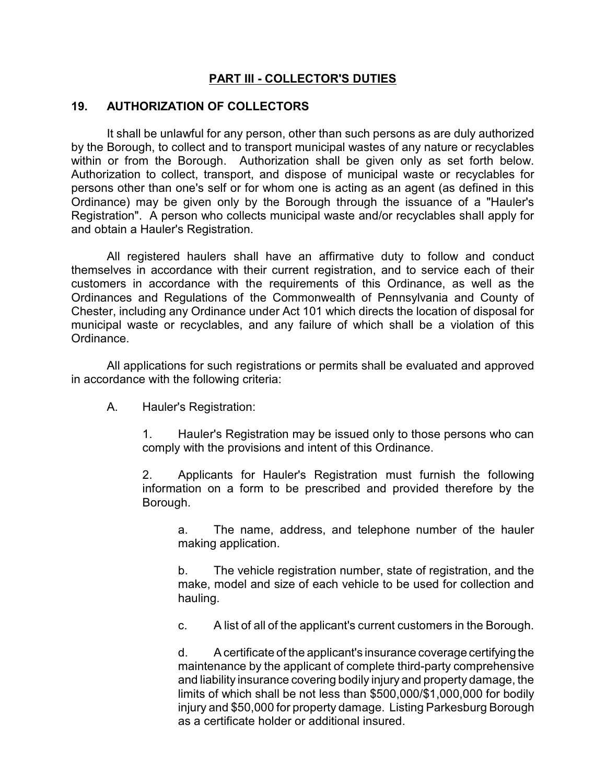#### **PART III - COLLECTOR'S DUTIES**

#### **19. AUTHORIZATION OF COLLECTORS**

It shall be unlawful for any person, other than such persons as are duly authorized by the Borough, to collect and to transport municipal wastes of any nature or recyclables within or from the Borough. Authorization shall be given only as set forth below. Authorization to collect, transport, and dispose of municipal waste or recyclables for persons other than one's self or for whom one is acting as an agent (as defined in this Ordinance) may be given only by the Borough through the issuance of a "Hauler's Registration". A person who collects municipal waste and/or recyclables shall apply for and obtain a Hauler's Registration.

All registered haulers shall have an affirmative duty to follow and conduct themselves in accordance with their current registration, and to service each of their customers in accordance with the requirements of this Ordinance, as well as the Ordinances and Regulations of the Commonwealth of Pennsylvania and County of Chester, including any Ordinance under Act 101 which directs the location of disposal for municipal waste or recyclables, and any failure of which shall be a violation of this Ordinance.

All applications for such registrations or permits shall be evaluated and approved in accordance with the following criteria:

A. Hauler's Registration:

1. Hauler's Registration may be issued only to those persons who can comply with the provisions and intent of this Ordinance.

2. Applicants for Hauler's Registration must furnish the following information on a form to be prescribed and provided therefore by the Borough.

a. The name, address, and telephone number of the hauler making application.

b. The vehicle registration number, state of registration, and the make, model and size of each vehicle to be used for collection and hauling.

c. A list of all of the applicant's current customers in the Borough.

d. A certificate of the applicant's insurance coverage certifyingthe maintenance by the applicant of complete third-party comprehensive and liability insurance covering bodily injury and property damage, the limits of which shall be not less than \$500,000/\$1,000,000 for bodily injury and \$50,000 for property damage. Listing Parkesburg Borough as a certificate holder or additional insured.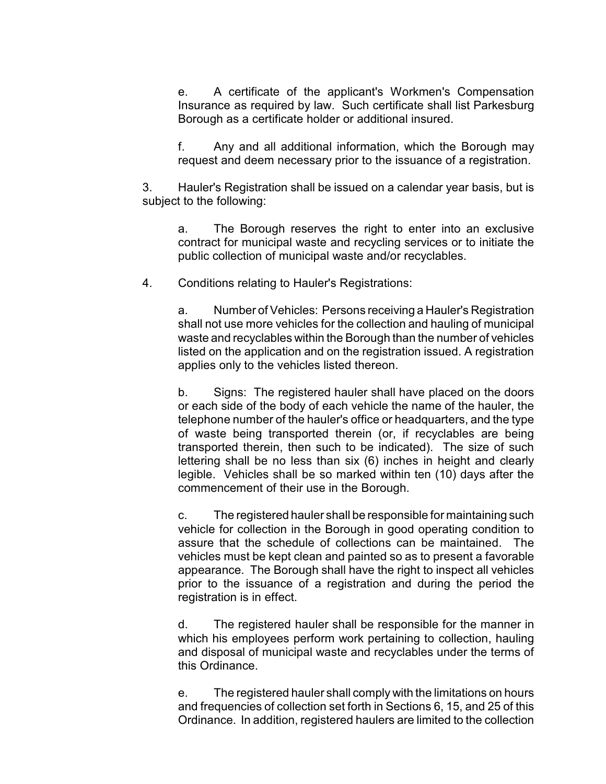e. A certificate of the applicant's Workmen's Compensation Insurance as required by law. Such certificate shall list Parkesburg Borough as a certificate holder or additional insured.

f. Any and all additional information, which the Borough may request and deem necessary prior to the issuance of a registration.

3. Hauler's Registration shall be issued on a calendar year basis, but is subject to the following:

a. The Borough reserves the right to enter into an exclusive contract for municipal waste and recycling services or to initiate the public collection of municipal waste and/or recyclables.

4. Conditions relating to Hauler's Registrations:

a. Number of Vehicles: Persons receiving a Hauler's Registration shall not use more vehicles for the collection and hauling of municipal waste and recyclables within the Borough than the number of vehicles listed on the application and on the registration issued. A registration applies only to the vehicles listed thereon.

b. Signs: The registered hauler shall have placed on the doors or each side of the body of each vehicle the name of the hauler, the telephone number of the hauler's office or headquarters, and the type of waste being transported therein (or, if recyclables are being transported therein, then such to be indicated). The size of such lettering shall be no less than six (6) inches in height and clearly legible. Vehicles shall be so marked within ten (10) days after the commencement of their use in the Borough.

c. The registered hauler shall be responsible for maintaining such vehicle for collection in the Borough in good operating condition to assure that the schedule of collections can be maintained. The vehicles must be kept clean and painted so as to present a favorable appearance. The Borough shall have the right to inspect all vehicles prior to the issuance of a registration and during the period the registration is in effect.

d. The registered hauler shall be responsible for the manner in which his employees perform work pertaining to collection, hauling and disposal of municipal waste and recyclables under the terms of this Ordinance.

e. The registered hauler shall comply with the limitations on hours and frequencies of collection set forth in Sections 6, 15, and 25 of this Ordinance. In addition, registered haulers are limited to the collection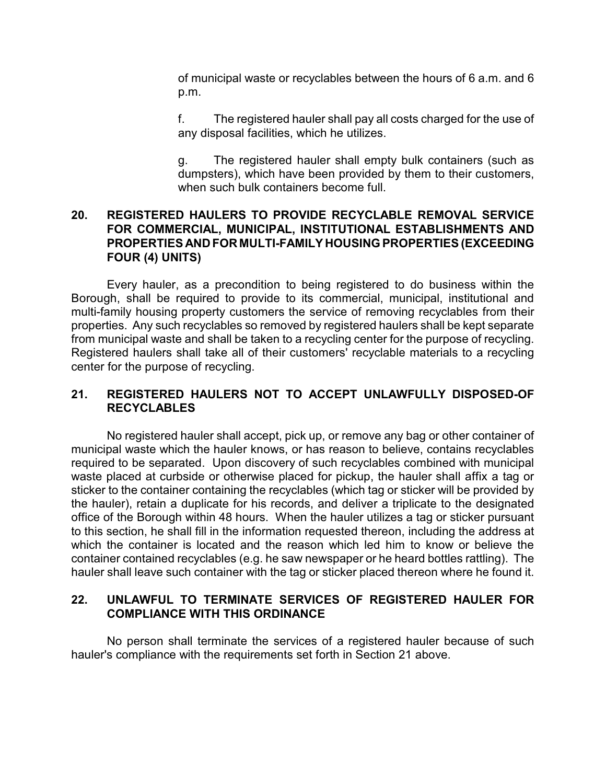of municipal waste or recyclables between the hours of 6 a.m. and 6 p.m.

f. The registered hauler shall pay all costs charged for the use of any disposal facilities, which he utilizes.

g. The registered hauler shall empty bulk containers (such as dumpsters), which have been provided by them to their customers, when such bulk containers become full.

#### **20. REGISTERED HAULERS TO PROVIDE RECYCLABLE REMOVAL SERVICE FOR COMMERCIAL, MUNICIPAL, INSTITUTIONAL ESTABLISHMENTS AND PROPERTIES AND FOR MULTI-FAMILY HOUSING PROPERTIES (EXCEEDING FOUR (4) UNITS)**

Every hauler, as a precondition to being registered to do business within the Borough, shall be required to provide to its commercial, municipal, institutional and multi-family housing property customers the service of removing recyclables from their properties. Any such recyclables so removed by registered haulers shall be kept separate from municipal waste and shall be taken to a recycling center for the purpose of recycling. Registered haulers shall take all of their customers' recyclable materials to a recycling center for the purpose of recycling.

# **21. REGISTERED HAULERS NOT TO ACCEPT UNLAWFULLY DISPOSED-OF RECYCLABLES**

No registered hauler shall accept, pick up, or remove any bag or other container of municipal waste which the hauler knows, or has reason to believe, contains recyclables required to be separated. Upon discovery of such recyclables combined with municipal waste placed at curbside or otherwise placed for pickup, the hauler shall affix a tag or sticker to the container containing the recyclables (which tag or sticker will be provided by the hauler), retain a duplicate for his records, and deliver a triplicate to the designated office of the Borough within 48 hours. When the hauler utilizes a tag or sticker pursuant to this section, he shall fill in the information requested thereon, including the address at which the container is located and the reason which led him to know or believe the container contained recyclables (e.g. he saw newspaper or he heard bottles rattling). The hauler shall leave such container with the tag or sticker placed thereon where he found it.

# **22. UNLAWFUL TO TERMINATE SERVICES OF REGISTERED HAULER FOR COMPLIANCE WITH THIS ORDINANCE**

No person shall terminate the services of a registered hauler because of such hauler's compliance with the requirements set forth in Section 21 above.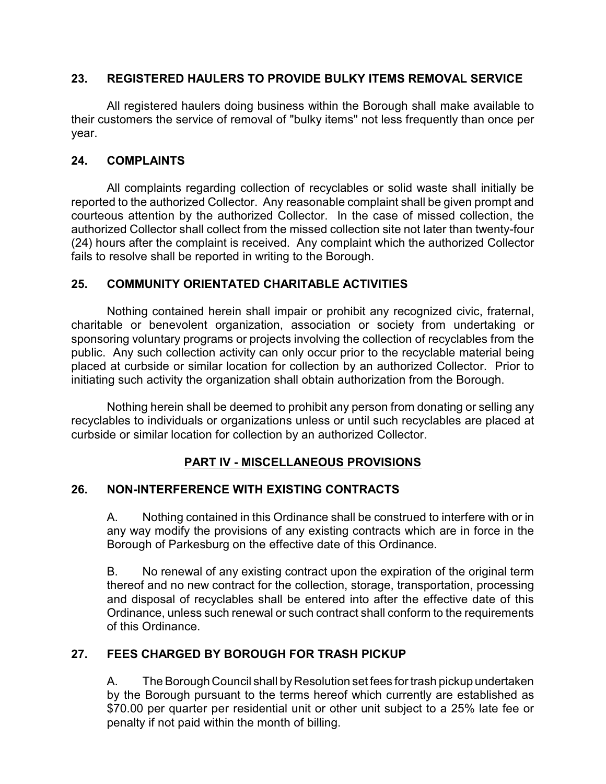#### **23. REGISTERED HAULERS TO PROVIDE BULKY ITEMS REMOVAL SERVICE**

All registered haulers doing business within the Borough shall make available to their customers the service of removal of "bulky items" not less frequently than once per year.

#### **24. COMPLAINTS**

All complaints regarding collection of recyclables or solid waste shall initially be reported to the authorized Collector. Any reasonable complaint shall be given prompt and courteous attention by the authorized Collector. In the case of missed collection, the authorized Collector shall collect from the missed collection site not later than twenty-four (24) hours after the complaint is received. Any complaint which the authorized Collector fails to resolve shall be reported in writing to the Borough.

# **25. COMMUNITY ORIENTATED CHARITABLE ACTIVITIES**

Nothing contained herein shall impair or prohibit any recognized civic, fraternal, charitable or benevolent organization, association or society from undertaking or sponsoring voluntary programs or projects involving the collection of recyclables from the public. Any such collection activity can only occur prior to the recyclable material being placed at curbside or similar location for collection by an authorized Collector. Prior to initiating such activity the organization shall obtain authorization from the Borough.

Nothing herein shall be deemed to prohibit any person from donating or selling any recyclables to individuals or organizations unless or until such recyclables are placed at curbside or similar location for collection by an authorized Collector.

# **PART IV - MISCELLANEOUS PROVISIONS**

# **26. NON-INTERFERENCE WITH EXISTING CONTRACTS**

A. Nothing contained in this Ordinance shall be construed to interfere with or in any way modify the provisions of any existing contracts which are in force in the Borough of Parkesburg on the effective date of this Ordinance.

B. No renewal of any existing contract upon the expiration of the original term thereof and no new contract for the collection, storage, transportation, processing and disposal of recyclables shall be entered into after the effective date of this Ordinance, unless such renewal or such contract shall conform to the requirements of this Ordinance.

# **27. FEES CHARGED BY BOROUGH FOR TRASH PICKUP**

A. The Borough Council shall by Resolution set fees for trash pickup undertaken by the Borough pursuant to the terms hereof which currently are established as \$70.00 per quarter per residential unit or other unit subject to a 25% late fee or penalty if not paid within the month of billing.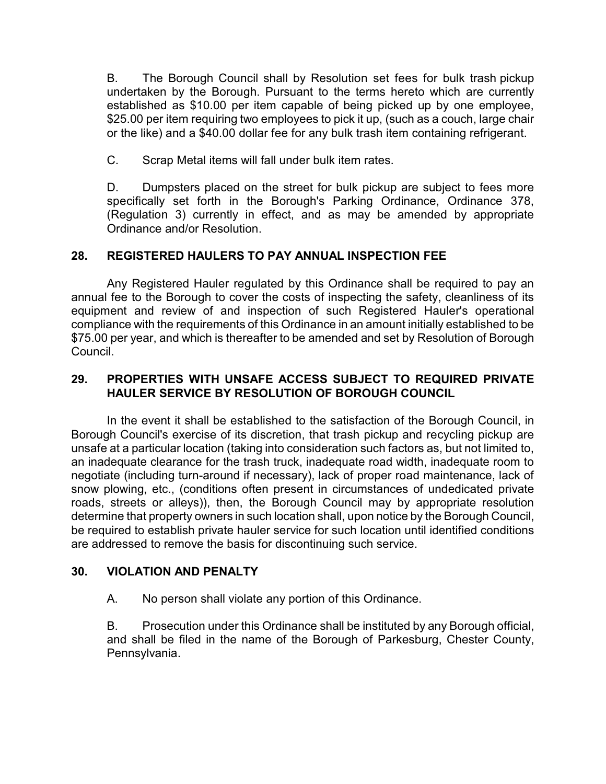B. The Borough Council shall by Resolution set fees for bulk trash pickup undertaken by the Borough. Pursuant to the terms hereto which are currently established as \$10.00 per item capable of being picked up by one employee, \$25.00 per item requiring two employees to pick it up, (such as a couch, large chair or the like) and a \$40.00 dollar fee for any bulk trash item containing refrigerant.

C. Scrap Metal items will fall under bulk item rates.

D. Dumpsters placed on the street for bulk pickup are subject to fees more specifically set forth in the Borough's Parking Ordinance, Ordinance 378, (Regulation 3) currently in effect, and as may be amended by appropriate Ordinance and/or Resolution.

# **28. REGISTERED HAULERS TO PAY ANNUAL INSPECTION FEE**

Any Registered Hauler regulated by this Ordinance shall be required to pay an annual fee to the Borough to cover the costs of inspecting the safety, cleanliness of its equipment and review of and inspection of such Registered Hauler's operational compliance with the requirements of this Ordinance in an amount initially established to be \$75.00 per year, and which is thereafter to be amended and set by Resolution of Borough Council.

#### **29. PROPERTIES WITH UNSAFE ACCESS SUBJECT TO REQUIRED PRIVATE HAULER SERVICE BY RESOLUTION OF BOROUGH COUNCIL**

In the event it shall be established to the satisfaction of the Borough Council, in Borough Council's exercise of its discretion, that trash pickup and recycling pickup are unsafe at a particular location (taking into consideration such factors as, but not limited to, an inadequate clearance for the trash truck, inadequate road width, inadequate room to negotiate (including turn-around if necessary), lack of proper road maintenance, lack of snow plowing, etc., (conditions often present in circumstances of undedicated private roads, streets or alleys)), then, the Borough Council may by appropriate resolution determine that property owners in such location shall, upon notice by the Borough Council, be required to establish private hauler service for such location until identified conditions are addressed to remove the basis for discontinuing such service.

# **30. VIOLATION AND PENALTY**

A. No person shall violate any portion of this Ordinance.

B. Prosecution under this Ordinance shall be instituted by any Borough official, and shall be filed in the name of the Borough of Parkesburg, Chester County, Pennsylvania.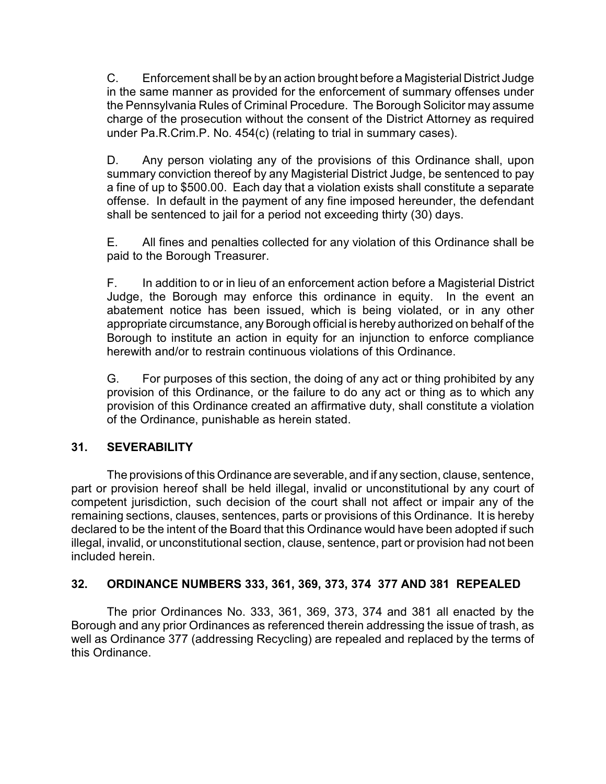C. Enforcement shall be by an action brought before a Magisterial District Judge in the same manner as provided for the enforcement of summary offenses under the Pennsylvania Rules of Criminal Procedure. The Borough Solicitor may assume charge of the prosecution without the consent of the District Attorney as required under Pa.R.Crim.P. No. 454(c) (relating to trial in summary cases).

D. Any person violating any of the provisions of this Ordinance shall, upon summary conviction thereof by any Magisterial District Judge, be sentenced to pay a fine of up to \$500.00. Each day that a violation exists shall constitute a separate offense. In default in the payment of any fine imposed hereunder, the defendant shall be sentenced to jail for a period not exceeding thirty (30) days.

E. All fines and penalties collected for any violation of this Ordinance shall be paid to the Borough Treasurer.

F. In addition to or in lieu of an enforcement action before a Magisterial District Judge, the Borough may enforce this ordinance in equity. In the event an abatement notice has been issued, which is being violated, or in any other appropriate circumstance, any Borough official is hereby authorized on behalf of the Borough to institute an action in equity for an injunction to enforce compliance herewith and/or to restrain continuous violations of this Ordinance.

G. For purposes of this section, the doing of any act or thing prohibited by any provision of this Ordinance, or the failure to do any act or thing as to which any provision of this Ordinance created an affirmative duty, shall constitute a violation of the Ordinance, punishable as herein stated.

# **31. SEVERABILITY**

The provisions of this Ordinance are severable, and if any section, clause, sentence, part or provision hereof shall be held illegal, invalid or unconstitutional by any court of competent jurisdiction, such decision of the court shall not affect or impair any of the remaining sections, clauses, sentences, parts or provisions of this Ordinance. It is hereby declared to be the intent of the Board that this Ordinance would have been adopted if such illegal, invalid, or unconstitutional section, clause, sentence, part or provision had not been included herein.

# **32. ORDINANCE NUMBERS 333, 361, 369, 373, 374 377 AND 381 REPEALED**

The prior Ordinances No. 333, 361, 369, 373, 374 and 381 all enacted by the Borough and any prior Ordinances as referenced therein addressing the issue of trash, as well as Ordinance 377 (addressing Recycling) are repealed and replaced by the terms of this Ordinance.